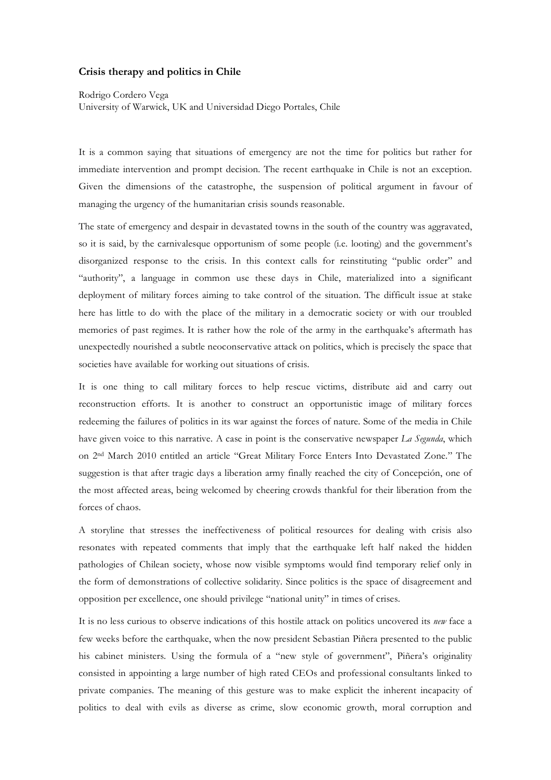## **Crisis therapy and politics in Chile**

Rodrigo Cordero Vega University of Warwick, UK and Universidad Diego Portales, Chile

It is a common saying that situations of emergency are not the time for politics but rather for immediate intervention and prompt decision. The recent earthquake in Chile is not an exception. Given the dimensions of the catastrophe, the suspension of political argument in favour of managing the urgency of the humanitarian crisis sounds reasonable.

The state of emergency and despair in devastated towns in the south of the country was aggravated, so it is said, by the carnivalesque opportunism of some people (i.e. looting) and the government's disorganized response to the crisis. In this context calls for reinstituting "public order" and "authority", a language in common use these days in Chile, materialized into a significant deployment of military forces aiming to take control of the situation. The difficult issue at stake here has little to do with the place of the military in a democratic society or with our troubled memories of past regimes. It is rather how the role of the army in the earthquake's aftermath has unexpectedly nourished a subtle neoconservative attack on politics, which is precisely the space that societies have available for working out situations of crisis.

It is one thing to call military forces to help rescue victims, distribute aid and carry out reconstruction efforts. It is another to construct an opportunistic image of military forces redeeming the failures of politics in its war against the forces of nature. Some of the media in Chile have given voice to this narrative. A case in point is the conservative newspaper *La Segunda*, which on 2nd March 2010 entitled an article "Great Military Force Enters Into Devastated Zone." The suggestion is that after tragic days a liberation army finally reached the city of Concepción, one of the most affected areas, being welcomed by cheering crowds thankful for their liberation from the forces of chaos.

A storyline that stresses the ineffectiveness of political resources for dealing with crisis also resonates with repeated comments that imply that the earthquake left half naked the hidden pathologies of Chilean society, whose now visible symptoms would find temporary relief only in the form of demonstrations of collective solidarity. Since politics is the space of disagreement and opposition per excellence, one should privilege "national unity" in times of crises.

It is no less curious to observe indications of this hostile attack on politics uncovered its *new* face a few weeks before the earthquake, when the now president Sebastian Piñera presented to the public his cabinet ministers. Using the formula of a "new style of government", Piñera's originality consisted in appointing a large number of high rated CEOs and professional consultants linked to private companies. The meaning of this gesture was to make explicit the inherent incapacity of politics to deal with evils as diverse as crime, slow economic growth, moral corruption and